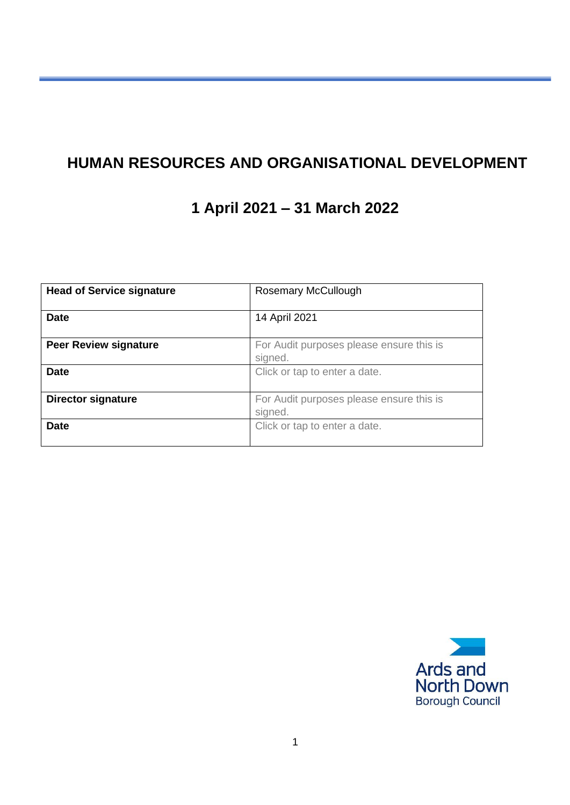## **HUMAN RESOURCES AND ORGANISATIONAL DEVELOPMENT**

# **1 April 2021 – 31 March 2022**

| <b>Head of Service signature</b> | Rosemary McCullough                      |  |  |
|----------------------------------|------------------------------------------|--|--|
|                                  |                                          |  |  |
| <b>Date</b>                      | 14 April 2021                            |  |  |
|                                  |                                          |  |  |
| <b>Peer Review signature</b>     | For Audit purposes please ensure this is |  |  |
|                                  | signed.                                  |  |  |
| <b>Date</b>                      | Click or tap to enter a date.            |  |  |
|                                  |                                          |  |  |
| Director signature               | For Audit purposes please ensure this is |  |  |
|                                  | signed.                                  |  |  |
| <b>Date</b>                      | Click or tap to enter a date.            |  |  |
|                                  |                                          |  |  |

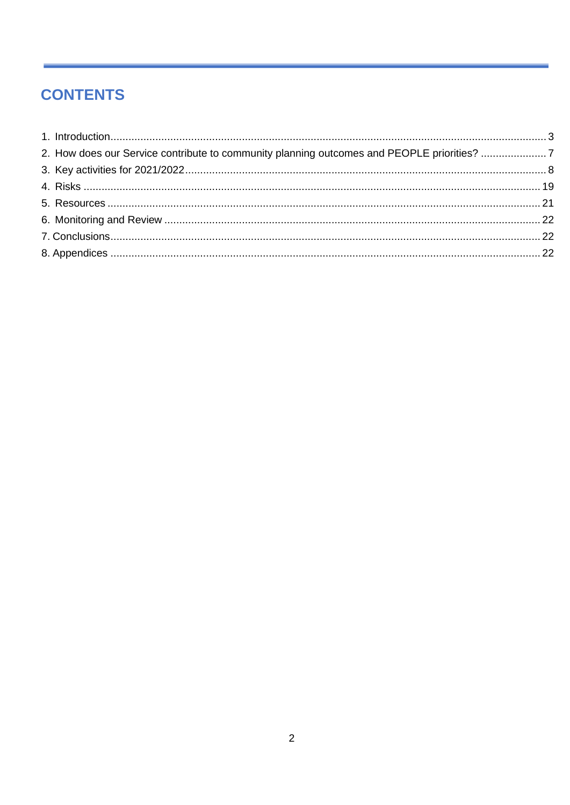## **CONTENTS**

| 2. How does our Service contribute to community planning outcomes and PEOPLE priorities? 7 |  |
|--------------------------------------------------------------------------------------------|--|
|                                                                                            |  |
|                                                                                            |  |
|                                                                                            |  |
|                                                                                            |  |
|                                                                                            |  |
|                                                                                            |  |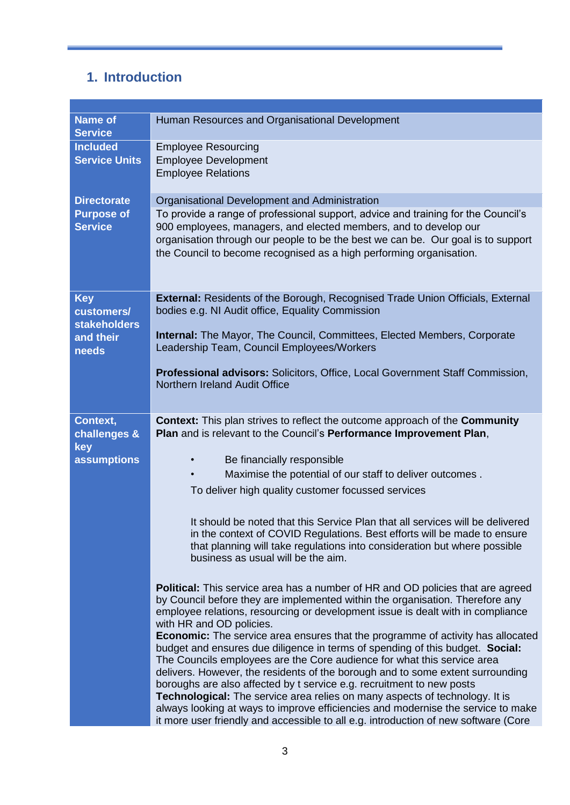## <span id="page-2-0"></span>**1. Introduction**

| <b>Name of</b><br><b>Service</b>                | Human Resources and Organisational Development                                                                                                                                                                                                                                                                                                                                                                                                                                                                                                                                                                                                                          |
|-------------------------------------------------|-------------------------------------------------------------------------------------------------------------------------------------------------------------------------------------------------------------------------------------------------------------------------------------------------------------------------------------------------------------------------------------------------------------------------------------------------------------------------------------------------------------------------------------------------------------------------------------------------------------------------------------------------------------------------|
| <b>Included</b><br><b>Service Units</b>         | <b>Employee Resourcing</b><br><b>Employee Development</b>                                                                                                                                                                                                                                                                                                                                                                                                                                                                                                                                                                                                               |
|                                                 | <b>Employee Relations</b>                                                                                                                                                                                                                                                                                                                                                                                                                                                                                                                                                                                                                                               |
| <b>Directorate</b>                              | Organisational Development and Administration                                                                                                                                                                                                                                                                                                                                                                                                                                                                                                                                                                                                                           |
| <b>Purpose of</b><br><b>Service</b>             | To provide a range of professional support, advice and training for the Council's<br>900 employees, managers, and elected members, and to develop our<br>organisation through our people to be the best we can be. Our goal is to support<br>the Council to become recognised as a high performing organisation.                                                                                                                                                                                                                                                                                                                                                        |
| <b>Key</b><br>customers/<br><b>stakeholders</b> | External: Residents of the Borough, Recognised Trade Union Officials, External<br>bodies e.g. NI Audit office, Equality Commission                                                                                                                                                                                                                                                                                                                                                                                                                                                                                                                                      |
| and their<br>needs                              | <b>Internal:</b> The Mayor, The Council, Committees, Elected Members, Corporate<br>Leadership Team, Council Employees/Workers                                                                                                                                                                                                                                                                                                                                                                                                                                                                                                                                           |
|                                                 | Professional advisors: Solicitors, Office, Local Government Staff Commission,<br>Northern Ireland Audit Office                                                                                                                                                                                                                                                                                                                                                                                                                                                                                                                                                          |
| Context,<br>challenges &                        | <b>Context:</b> This plan strives to reflect the outcome approach of the <b>Community</b><br>Plan and is relevant to the Council's Performance Improvement Plan,                                                                                                                                                                                                                                                                                                                                                                                                                                                                                                        |
| key                                             |                                                                                                                                                                                                                                                                                                                                                                                                                                                                                                                                                                                                                                                                         |
| <b>assumptions</b>                              | Be financially responsible                                                                                                                                                                                                                                                                                                                                                                                                                                                                                                                                                                                                                                              |
|                                                 | Maximise the potential of our staff to deliver outcomes.                                                                                                                                                                                                                                                                                                                                                                                                                                                                                                                                                                                                                |
|                                                 | To deliver high quality customer focussed services                                                                                                                                                                                                                                                                                                                                                                                                                                                                                                                                                                                                                      |
|                                                 | It should be noted that this Service Plan that all services will be delivered<br>in the context of COVID Regulations. Best efforts will be made to ensure<br>that planning will take regulations into consideration but where possible<br>business as usual will be the aim.                                                                                                                                                                                                                                                                                                                                                                                            |
|                                                 | <b>Political:</b> This service area has a number of HR and OD policies that are agreed<br>by Council before they are implemented within the organisation. Therefore any<br>employee relations, resourcing or development issue is dealt with in compliance<br>with HR and OD policies.                                                                                                                                                                                                                                                                                                                                                                                  |
|                                                 | <b>Economic:</b> The service area ensures that the programme of activity has allocated<br>budget and ensures due diligence in terms of spending of this budget. Social:<br>The Councils employees are the Core audience for what this service area<br>delivers. However, the residents of the borough and to some extent surrounding<br>boroughs are also affected by t service e.g. recruitment to new posts<br>Technological: The service area relies on many aspects of technology. It is<br>always looking at ways to improve efficiencies and modernise the service to make<br>it more user friendly and accessible to all e.g. introduction of new software (Core |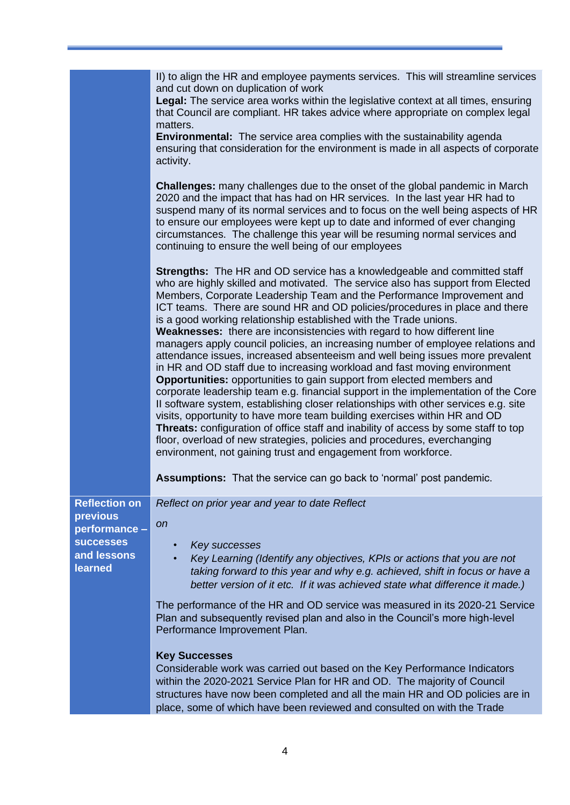|                                  | II) to align the HR and employee payments services. This will streamline services<br>and cut down on duplication of work<br>Legal: The service area works within the legislative context at all times, ensuring<br>that Council are compliant. HR takes advice where appropriate on complex legal<br>matters.<br><b>Environmental:</b> The service area complies with the sustainability agenda<br>ensuring that consideration for the environment is made in all aspects of corporate<br>activity.                                                                                                                                                                                                                                                                                                                                                                                                                                                                                                                                                                                                                                                                                                                                                                                                                                                                                       |
|----------------------------------|-------------------------------------------------------------------------------------------------------------------------------------------------------------------------------------------------------------------------------------------------------------------------------------------------------------------------------------------------------------------------------------------------------------------------------------------------------------------------------------------------------------------------------------------------------------------------------------------------------------------------------------------------------------------------------------------------------------------------------------------------------------------------------------------------------------------------------------------------------------------------------------------------------------------------------------------------------------------------------------------------------------------------------------------------------------------------------------------------------------------------------------------------------------------------------------------------------------------------------------------------------------------------------------------------------------------------------------------------------------------------------------------|
|                                  | <b>Challenges:</b> many challenges due to the onset of the global pandemic in March<br>2020 and the impact that has had on HR services. In the last year HR had to<br>suspend many of its normal services and to focus on the well being aspects of HR<br>to ensure our employees were kept up to date and informed of ever changing<br>circumstances. The challenge this year will be resuming normal services and<br>continuing to ensure the well being of our employees                                                                                                                                                                                                                                                                                                                                                                                                                                                                                                                                                                                                                                                                                                                                                                                                                                                                                                               |
|                                  | <b>Strengths:</b> The HR and OD service has a knowledgeable and committed staff<br>who are highly skilled and motivated. The service also has support from Elected<br>Members, Corporate Leadership Team and the Performance Improvement and<br>ICT teams. There are sound HR and OD policies/procedures in place and there<br>is a good working relationship established with the Trade unions.<br>Weaknesses: there are inconsistencies with regard to how different line<br>managers apply council policies, an increasing number of employee relations and<br>attendance issues, increased absenteeism and well being issues more prevalent<br>in HR and OD staff due to increasing workload and fast moving environment<br><b>Opportunities:</b> opportunities to gain support from elected members and<br>corporate leadership team e.g. financial support in the implementation of the Core<br>Il software system, establishing closer relationships with other services e.g. site<br>visits, opportunity to have more team building exercises within HR and OD<br>Threats: configuration of office staff and inability of access by some staff to top<br>floor, overload of new strategies, policies and procedures, everchanging<br>environment, not gaining trust and engagement from workforce.<br><b>Assumptions:</b> That the service can go back to 'normal' post pandemic. |
| <b>Reflection on</b><br>previous | Reflect on prior year and year to date Reflect                                                                                                                                                                                                                                                                                                                                                                                                                                                                                                                                                                                                                                                                                                                                                                                                                                                                                                                                                                                                                                                                                                                                                                                                                                                                                                                                            |
| performance -                    | on                                                                                                                                                                                                                                                                                                                                                                                                                                                                                                                                                                                                                                                                                                                                                                                                                                                                                                                                                                                                                                                                                                                                                                                                                                                                                                                                                                                        |
| <b>SUCCESSES</b>                 | Key successes                                                                                                                                                                                                                                                                                                                                                                                                                                                                                                                                                                                                                                                                                                                                                                                                                                                                                                                                                                                                                                                                                                                                                                                                                                                                                                                                                                             |
| and lessons<br>learned           | Key Learning (Identify any objectives, KPIs or actions that you are not<br>taking forward to this year and why e.g. achieved, shift in focus or have a<br>better version of it etc. If it was achieved state what difference it made.)                                                                                                                                                                                                                                                                                                                                                                                                                                                                                                                                                                                                                                                                                                                                                                                                                                                                                                                                                                                                                                                                                                                                                    |
|                                  | The performance of the HR and OD service was measured in its 2020-21 Service<br>Plan and subsequently revised plan and also in the Council's more high-level<br>Performance Improvement Plan.                                                                                                                                                                                                                                                                                                                                                                                                                                                                                                                                                                                                                                                                                                                                                                                                                                                                                                                                                                                                                                                                                                                                                                                             |
|                                  | <b>Key Successes</b>                                                                                                                                                                                                                                                                                                                                                                                                                                                                                                                                                                                                                                                                                                                                                                                                                                                                                                                                                                                                                                                                                                                                                                                                                                                                                                                                                                      |
|                                  | Considerable work was carried out based on the Key Performance Indicators<br>within the 2020-2021 Service Plan for HR and OD. The majority of Council<br>structures have now been completed and all the main HR and OD policies are in<br>place, some of which have been reviewed and consulted on with the Trade                                                                                                                                                                                                                                                                                                                                                                                                                                                                                                                                                                                                                                                                                                                                                                                                                                                                                                                                                                                                                                                                         |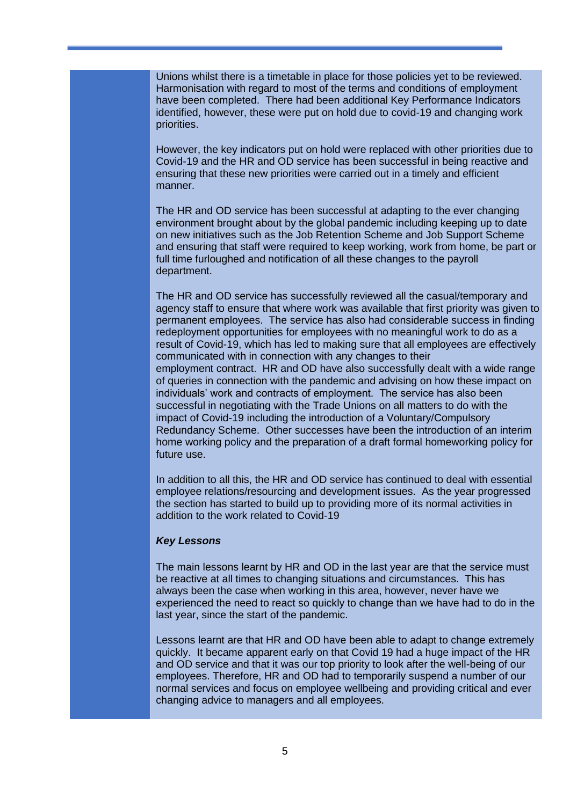Unions whilst there is a timetable in place for those policies yet to be reviewed. Harmonisation with regard to most of the terms and conditions of employment have been completed. There had been additional Key Performance Indicators identified, however, these were put on hold due to covid-19 and changing work priorities.

However, the key indicators put on hold were replaced with other priorities due to Covid-19 and the HR and OD service has been successful in being reactive and ensuring that these new priorities were carried out in a timely and efficient manner.

The HR and OD service has been successful at adapting to the ever changing environment brought about by the global pandemic including keeping up to date on new initiatives such as the Job Retention Scheme and Job Support Scheme and ensuring that staff were required to keep working, work from home, be part or full time furloughed and notification of all these changes to the payroll department.

The HR and OD service has successfully reviewed all the casual/temporary and agency staff to ensure that where work was available that first priority was given to permanent employees. The service has also had considerable success in finding redeployment opportunities for employees with no meaningful work to do as a result of Covid-19, which has led to making sure that all employees are effectively communicated with in connection with any changes to their employment contract. HR and OD have also successfully dealt with a wide range of queries in connection with the pandemic and advising on how these impact on individuals' work and contracts of employment. The service has also been successful in negotiating with the Trade Unions on all matters to do with the impact of Covid-19 including the introduction of a Voluntary/Compulsory Redundancy Scheme. Other successes have been the introduction of an interim home working policy and the preparation of a draft formal homeworking policy for future use.

In addition to all this, the HR and OD service has continued to deal with essential employee relations/resourcing and development issues. As the year progressed the section has started to build up to providing more of its normal activities in addition to the work related to Covid-19

#### *Key Lessons*

The main lessons learnt by HR and OD in the last year are that the service must be reactive at all times to changing situations and circumstances. This has always been the case when working in this area, however, never have we experienced the need to react so quickly to change than we have had to do in the last year, since the start of the pandemic.

Lessons learnt are that HR and OD have been able to adapt to change extremely quickly. It became apparent early on that Covid 19 had a huge impact of the HR and OD service and that it was our top priority to look after the well-being of our employees. Therefore, HR and OD had to temporarily suspend a number of our normal services and focus on employee wellbeing and providing critical and ever changing advice to managers and all employees.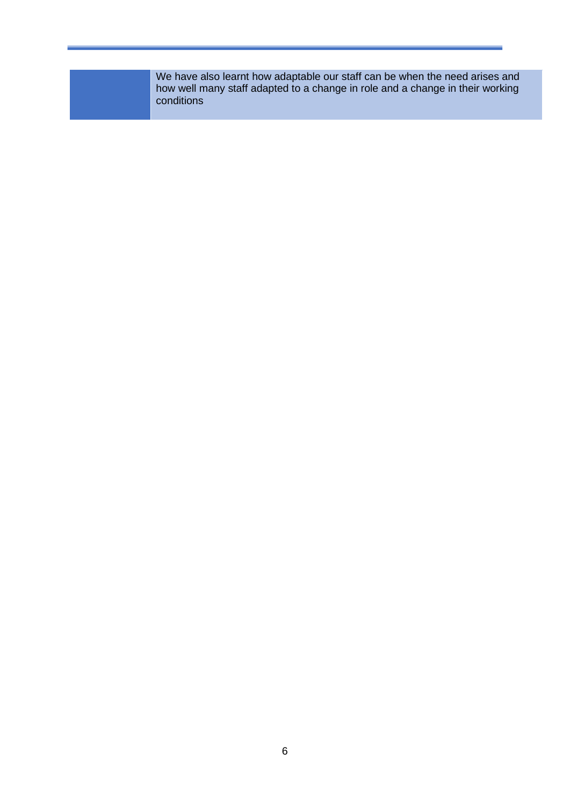We have also learnt how adaptable our staff can be when the need arises and how well many staff adapted to a change in role and a change in their working conditions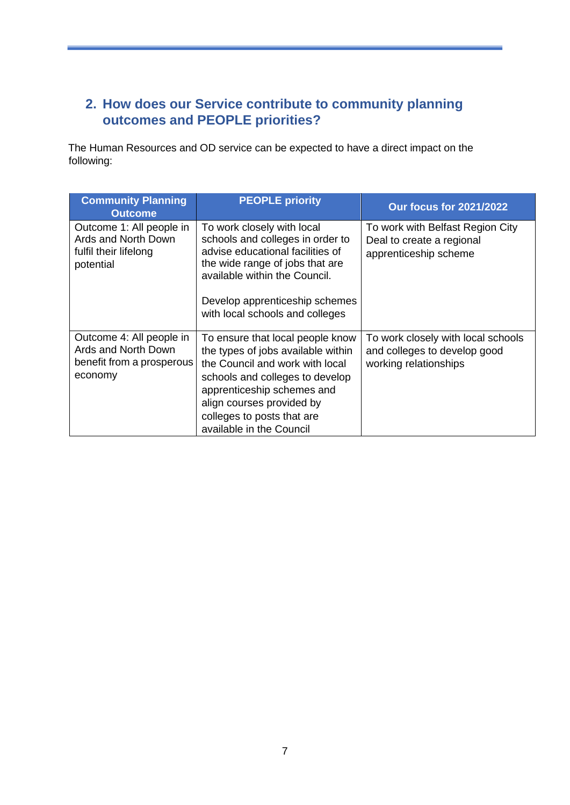#### <span id="page-6-0"></span>**2. How does our Service contribute to community planning outcomes and PEOPLE priorities?**

The Human Resources and OD service can be expected to have a direct impact on the following:

| <b>Community Planning</b><br><b>Outcome</b>                                             | <b>PEOPLE priority</b>                                                                                                                                                                                                                                            | <b>Our focus for 2021/2022</b>                                                              |
|-----------------------------------------------------------------------------------------|-------------------------------------------------------------------------------------------------------------------------------------------------------------------------------------------------------------------------------------------------------------------|---------------------------------------------------------------------------------------------|
| Outcome 1: All people in<br>Ards and North Down<br>fulfil their lifelong<br>potential   | To work closely with local<br>schools and colleges in order to<br>advise educational facilities of<br>the wide range of jobs that are<br>available within the Council.<br>Develop apprenticeship schemes<br>with local schools and colleges                       | To work with Belfast Region City<br>Deal to create a regional<br>apprenticeship scheme      |
| Outcome 4: All people in<br>Ards and North Down<br>benefit from a prosperous<br>economy | To ensure that local people know<br>the types of jobs available within<br>the Council and work with local<br>schools and colleges to develop<br>apprenticeship schemes and<br>align courses provided by<br>colleges to posts that are<br>available in the Council | To work closely with local schools<br>and colleges to develop good<br>working relationships |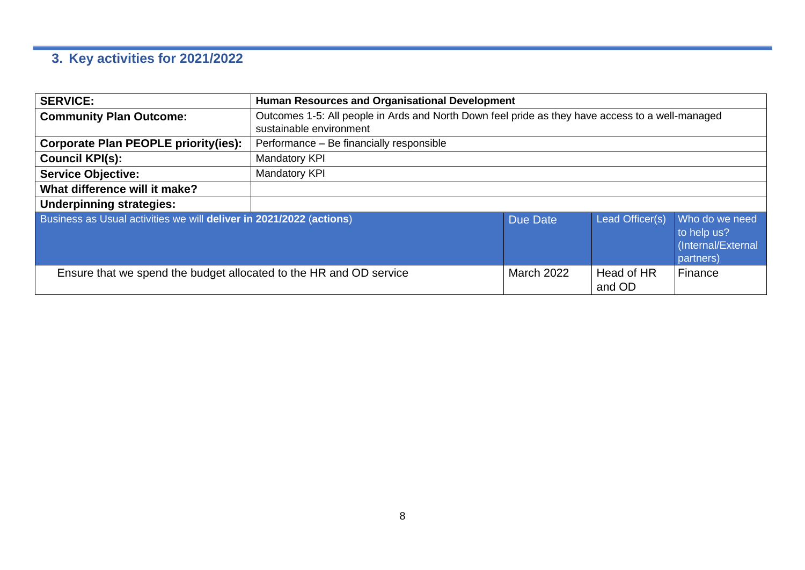# **3. Key activities for 2021/2022**

<span id="page-7-0"></span>

| <b>SERVICE:</b>                                                                                                                | <b>Human Resources and Organisational Development</b> |                                                                                                  |  |                                      |  |
|--------------------------------------------------------------------------------------------------------------------------------|-------------------------------------------------------|--------------------------------------------------------------------------------------------------|--|--------------------------------------|--|
| <b>Community Plan Outcome:</b>                                                                                                 |                                                       | Outcomes 1-5: All people in Ards and North Down feel pride as they have access to a well-managed |  |                                      |  |
|                                                                                                                                | sustainable environment                               |                                                                                                  |  |                                      |  |
| <b>Corporate Plan PEOPLE priority(ies):</b>                                                                                    | Performance - Be financially responsible              |                                                                                                  |  |                                      |  |
| <b>Council KPI(s):</b>                                                                                                         | Mandatory KPI                                         |                                                                                                  |  |                                      |  |
| <b>Service Objective:</b>                                                                                                      | <b>Mandatory KPI</b>                                  |                                                                                                  |  |                                      |  |
| What difference will it make?                                                                                                  |                                                       |                                                                                                  |  |                                      |  |
| <b>Underpinning strategies:</b>                                                                                                |                                                       |                                                                                                  |  |                                      |  |
| Business as Usual activities we will deliver in 2021/2022 (actions)<br>Lead Officer(s)<br>Due Date<br>to help us?<br>partners) |                                                       |                                                                                                  |  | Who do we need<br>(Internal/External |  |
| <b>March 2022</b><br>Finance<br>Ensure that we spend the budget allocated to the HR and OD service<br>Head of HR<br>and OD     |                                                       |                                                                                                  |  |                                      |  |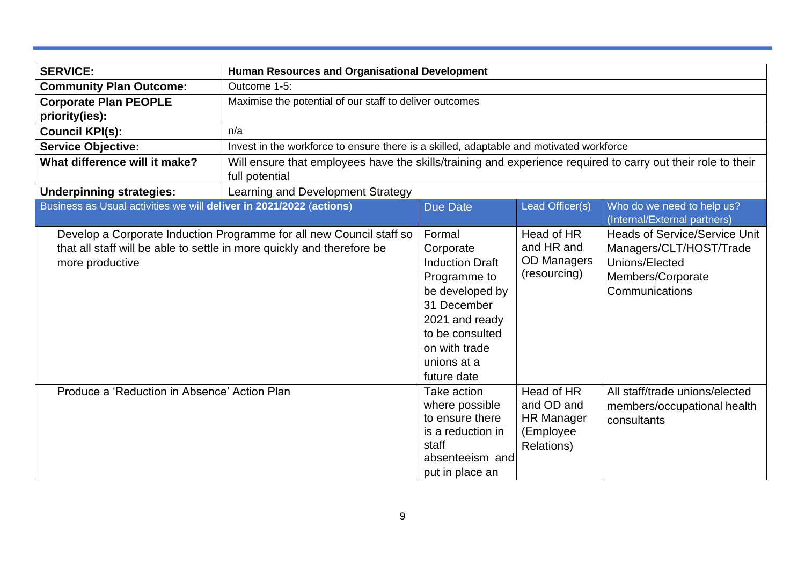| <b>SERVICE:</b>                                                     |                                                                                                                                                | <b>Human Resources and Organisational Development</b>                                                                                                                               |                                                                          |                                                                                                                          |  |
|---------------------------------------------------------------------|------------------------------------------------------------------------------------------------------------------------------------------------|-------------------------------------------------------------------------------------------------------------------------------------------------------------------------------------|--------------------------------------------------------------------------|--------------------------------------------------------------------------------------------------------------------------|--|
| <b>Community Plan Outcome:</b>                                      |                                                                                                                                                | Outcome 1-5:                                                                                                                                                                        |                                                                          |                                                                                                                          |  |
| <b>Corporate Plan PEOPLE</b>                                        | Maximise the potential of our staff to deliver outcomes                                                                                        |                                                                                                                                                                                     |                                                                          |                                                                                                                          |  |
| priority(ies):                                                      |                                                                                                                                                |                                                                                                                                                                                     |                                                                          |                                                                                                                          |  |
| <b>Council KPI(s):</b>                                              | n/a                                                                                                                                            |                                                                                                                                                                                     |                                                                          |                                                                                                                          |  |
| <b>Service Objective:</b>                                           | Invest in the workforce to ensure there is a skilled, adaptable and motivated workforce                                                        |                                                                                                                                                                                     |                                                                          |                                                                                                                          |  |
| What difference will it make?                                       | Will ensure that employees have the skills/training and experience required to carry out their role to their<br>full potential                 |                                                                                                                                                                                     |                                                                          |                                                                                                                          |  |
| <b>Underpinning strategies:</b>                                     | Learning and Development Strategy                                                                                                              |                                                                                                                                                                                     |                                                                          |                                                                                                                          |  |
| Business as Usual activities we will deliver in 2021/2022 (actions) |                                                                                                                                                | <b>Due Date</b>                                                                                                                                                                     | Lead Officer(s)                                                          | Who do we need to help us?                                                                                               |  |
|                                                                     |                                                                                                                                                |                                                                                                                                                                                     |                                                                          | (Internal/External partners)                                                                                             |  |
| more productive                                                     | Develop a Corporate Induction Programme for all new Council staff so<br>that all staff will be able to settle in more quickly and therefore be | Formal<br>Corporate<br><b>Induction Draft</b><br>Programme to<br>be developed by<br>31 December<br>2021 and ready<br>to be consulted<br>on with trade<br>unions at a<br>future date | Head of HR<br>and HR and<br><b>OD Managers</b><br>(resourcing)           | <b>Heads of Service/Service Unit</b><br>Managers/CLT/HOST/Trade<br>Unions/Elected<br>Members/Corporate<br>Communications |  |
| Produce a 'Reduction in Absence' Action Plan                        |                                                                                                                                                | Take action<br>where possible<br>to ensure there<br>is a reduction in<br>staff<br>absenteeism and<br>put in place an                                                                | Head of HR<br>and OD and<br><b>HR Manager</b><br>(Employee<br>Relations) | All staff/trade unions/elected<br>members/occupational health<br>consultants                                             |  |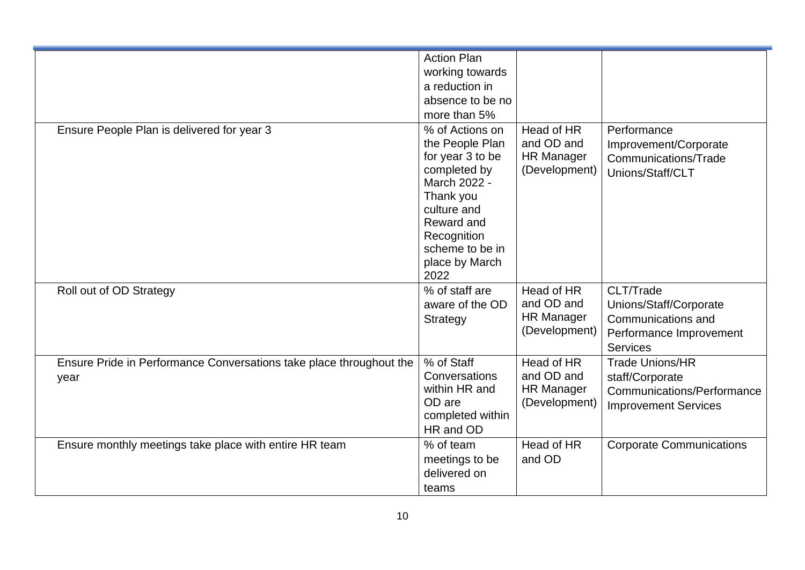|                                                                     | <b>Action Plan</b>                                                                                                               |                                                                |                                                                                  |
|---------------------------------------------------------------------|----------------------------------------------------------------------------------------------------------------------------------|----------------------------------------------------------------|----------------------------------------------------------------------------------|
|                                                                     | working towards                                                                                                                  |                                                                |                                                                                  |
|                                                                     | a reduction in                                                                                                                   |                                                                |                                                                                  |
|                                                                     | absence to be no                                                                                                                 |                                                                |                                                                                  |
|                                                                     | more than 5%                                                                                                                     |                                                                |                                                                                  |
| Ensure People Plan is delivered for year 3                          | % of Actions on<br>the People Plan<br>for year 3 to be<br>completed by<br>March 2022 -<br>Thank you<br>culture and<br>Reward and | Head of HR<br>and OD and<br><b>HR Manager</b><br>(Development) | Performance<br>Improvement/Corporate<br>Communications/Trade<br>Unions/Staff/CLT |
|                                                                     | Recognition<br>scheme to be in<br>place by March<br>2022                                                                         |                                                                |                                                                                  |
| Roll out of OD Strategy                                             | % of staff are                                                                                                                   | Head of HR                                                     | CLT/Trade                                                                        |
|                                                                     | aware of the OD                                                                                                                  | and OD and                                                     | Unions/Staff/Corporate                                                           |
|                                                                     | Strategy                                                                                                                         | <b>HR Manager</b>                                              | Communications and                                                               |
|                                                                     |                                                                                                                                  | (Development)                                                  | Performance Improvement                                                          |
|                                                                     |                                                                                                                                  |                                                                | <b>Services</b>                                                                  |
| Ensure Pride in Performance Conversations take place throughout the | % of Staff                                                                                                                       | Head of HR                                                     | <b>Trade Unions/HR</b>                                                           |
| year                                                                | Conversations                                                                                                                    | and OD and                                                     | staff/Corporate                                                                  |
|                                                                     | within HR and                                                                                                                    | <b>HR Manager</b>                                              | Communications/Performance                                                       |
|                                                                     | OD are                                                                                                                           | (Development)                                                  | <b>Improvement Services</b>                                                      |
|                                                                     | completed within                                                                                                                 |                                                                |                                                                                  |
|                                                                     | HR and OD                                                                                                                        |                                                                |                                                                                  |
| Ensure monthly meetings take place with entire HR team              | % of team                                                                                                                        | Head of HR                                                     | <b>Corporate Communications</b>                                                  |
|                                                                     | meetings to be                                                                                                                   | and OD                                                         |                                                                                  |
|                                                                     | delivered on                                                                                                                     |                                                                |                                                                                  |
|                                                                     | teams                                                                                                                            |                                                                |                                                                                  |
|                                                                     |                                                                                                                                  |                                                                |                                                                                  |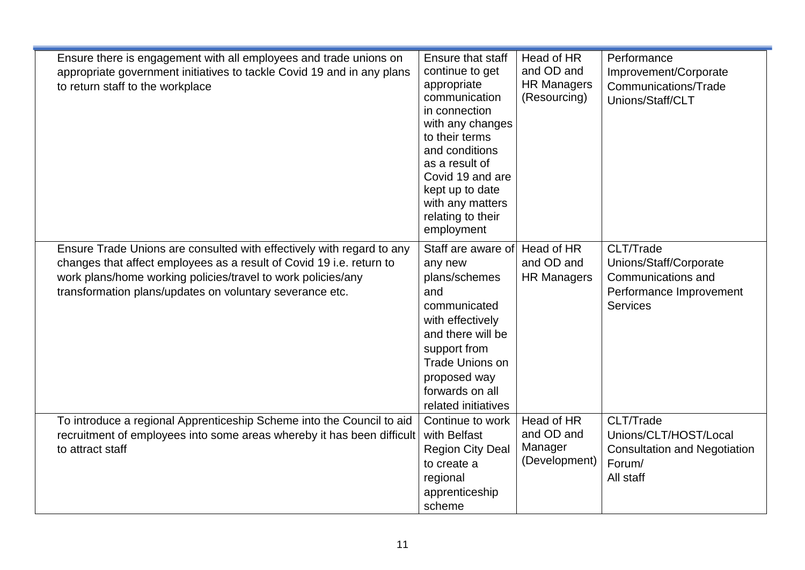| Ensure there is engagement with all employees and trade unions on      | <b>Ensure that staff</b> | Head of HR         | Performance                         |
|------------------------------------------------------------------------|--------------------------|--------------------|-------------------------------------|
|                                                                        |                          | and OD and         |                                     |
| appropriate government initiatives to tackle Covid 19 and in any plans | continue to get          |                    | Improvement/Corporate               |
| to return staff to the workplace                                       | appropriate              | <b>HR Managers</b> | Communications/Trade                |
|                                                                        | communication            | (Resourcing)       | Unions/Staff/CLT                    |
|                                                                        | in connection            |                    |                                     |
|                                                                        | with any changes         |                    |                                     |
|                                                                        | to their terms           |                    |                                     |
|                                                                        | and conditions           |                    |                                     |
|                                                                        | as a result of           |                    |                                     |
|                                                                        | Covid 19 and are         |                    |                                     |
|                                                                        | kept up to date          |                    |                                     |
|                                                                        | with any matters         |                    |                                     |
|                                                                        | relating to their        |                    |                                     |
|                                                                        | employment               |                    |                                     |
| Ensure Trade Unions are consulted with effectively with regard to any  | Staff are aware of       | Head of HR         | CLT/Trade                           |
| changes that affect employees as a result of Covid 19 i.e. return to   | any new                  | and OD and         | Unions/Staff/Corporate              |
| work plans/home working policies/travel to work policies/any           | plans/schemes            | <b>HR Managers</b> | Communications and                  |
| transformation plans/updates on voluntary severance etc.               | and                      |                    | Performance Improvement             |
|                                                                        | communicated             |                    | <b>Services</b>                     |
|                                                                        | with effectively         |                    |                                     |
|                                                                        | and there will be        |                    |                                     |
|                                                                        | support from             |                    |                                     |
|                                                                        | <b>Trade Unions on</b>   |                    |                                     |
|                                                                        |                          |                    |                                     |
|                                                                        | proposed way             |                    |                                     |
|                                                                        | forwards on all          |                    |                                     |
|                                                                        | related initiatives      |                    |                                     |
| To introduce a regional Apprenticeship Scheme into the Council to aid  | Continue to work         | Head of HR         | CLT/Trade                           |
| recruitment of employees into some areas whereby it has been difficult | with Belfast             | and OD and         | Unions/CLT/HOST/Local               |
| to attract staff                                                       | <b>Region City Deal</b>  | Manager            | <b>Consultation and Negotiation</b> |
|                                                                        | to create a              | (Development)      | Forum/                              |
|                                                                        | regional                 |                    | All staff                           |
|                                                                        | apprenticeship           |                    |                                     |
|                                                                        | scheme                   |                    |                                     |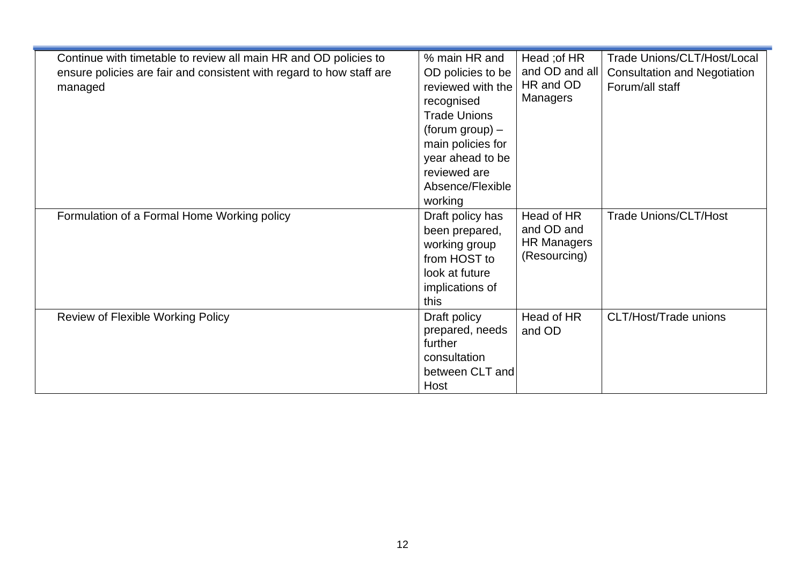| Continue with timetable to review all main HR and OD policies to<br>ensure policies are fair and consistent with regard to how staff are<br>managed | % main HR and<br>OD policies to be<br>reviewed with the<br>recognised<br><b>Trade Unions</b><br>(forum group) $-$<br>main policies for<br>year ahead to be<br>reviewed are<br>Absence/Flexible<br>working | Head ; of HR<br>and OD and all<br>HR and OD<br>Managers        | Trade Unions/CLT/Host/Local<br><b>Consultation and Negotiation</b><br>Forum/all staff |
|-----------------------------------------------------------------------------------------------------------------------------------------------------|-----------------------------------------------------------------------------------------------------------------------------------------------------------------------------------------------------------|----------------------------------------------------------------|---------------------------------------------------------------------------------------|
| Formulation of a Formal Home Working policy                                                                                                         | Draft policy has<br>been prepared,<br>working group<br>from HOST to<br>look at future<br>implications of<br>this                                                                                          | Head of HR<br>and OD and<br><b>HR Managers</b><br>(Resourcing) | <b>Trade Unions/CLT/Host</b>                                                          |
| Review of Flexible Working Policy                                                                                                                   | Draft policy<br>prepared, needs<br>further<br>consultation<br>between CLT and<br>Host                                                                                                                     | Head of HR<br>and OD                                           | CLT/Host/Trade unions                                                                 |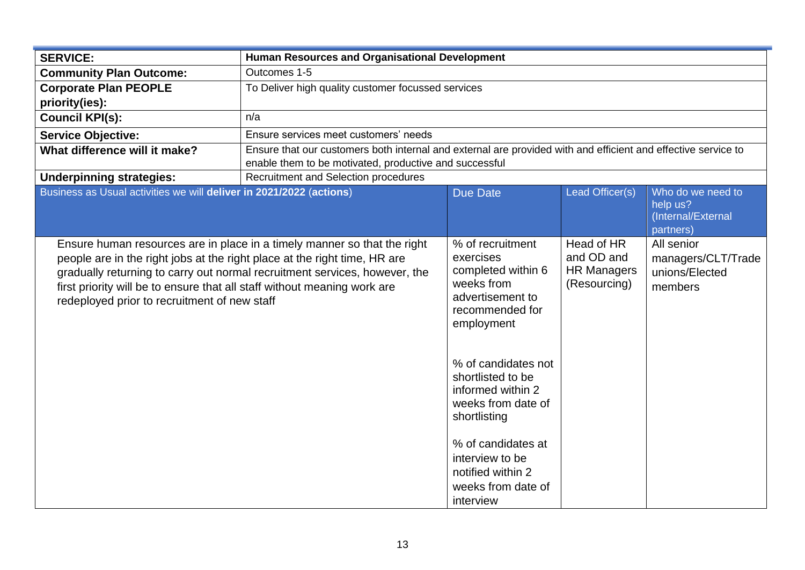| <b>SERVICE:</b>                                                                                                                                                                                       | <b>Human Resources and Organisational Development</b>                                                                                                                   |                                                                                                                        |                                                                |                                                                  |  |
|-------------------------------------------------------------------------------------------------------------------------------------------------------------------------------------------------------|-------------------------------------------------------------------------------------------------------------------------------------------------------------------------|------------------------------------------------------------------------------------------------------------------------|----------------------------------------------------------------|------------------------------------------------------------------|--|
| <b>Community Plan Outcome:</b>                                                                                                                                                                        | Outcomes 1-5                                                                                                                                                            |                                                                                                                        |                                                                |                                                                  |  |
| <b>Corporate Plan PEOPLE</b>                                                                                                                                                                          | To Deliver high quality customer focussed services                                                                                                                      |                                                                                                                        |                                                                |                                                                  |  |
| priority(ies):                                                                                                                                                                                        |                                                                                                                                                                         |                                                                                                                        |                                                                |                                                                  |  |
| <b>Council KPI(s):</b>                                                                                                                                                                                | n/a                                                                                                                                                                     |                                                                                                                        |                                                                |                                                                  |  |
| <b>Service Objective:</b>                                                                                                                                                                             | Ensure services meet customers' needs                                                                                                                                   |                                                                                                                        |                                                                |                                                                  |  |
| What difference will it make?                                                                                                                                                                         | Ensure that our customers both internal and external are provided with and efficient and effective service to<br>enable them to be motivated, productive and successful |                                                                                                                        |                                                                |                                                                  |  |
| <b>Underpinning strategies:</b>                                                                                                                                                                       | Recruitment and Selection procedures                                                                                                                                    |                                                                                                                        |                                                                |                                                                  |  |
| Business as Usual activities we will deliver in 2021/2022 (actions)                                                                                                                                   |                                                                                                                                                                         | <b>Due Date</b>                                                                                                        | Lead Officer(s)                                                | Who do we need to<br>help us?<br>(Internal/External<br>partners) |  |
| people are in the right jobs at the right place at the right time, HR are<br>first priority will be to ensure that all staff without meaning work are<br>redeployed prior to recruitment of new staff | Ensure human resources are in place in a timely manner so that the right<br>gradually returning to carry out normal recruitment services, however, the                  | % of recruitment<br>exercises<br>completed within 6<br>weeks from<br>advertisement to<br>recommended for<br>employment | Head of HR<br>and OD and<br><b>HR Managers</b><br>(Resourcing) | All senior<br>managers/CLT/Trade<br>unions/Elected<br>members    |  |
|                                                                                                                                                                                                       |                                                                                                                                                                         | % of candidates not<br>shortlisted to be<br>informed within 2<br>weeks from date of<br>shortlisting                    |                                                                |                                                                  |  |
|                                                                                                                                                                                                       |                                                                                                                                                                         | % of candidates at<br>interview to be<br>notified within 2<br>weeks from date of<br>interview                          |                                                                |                                                                  |  |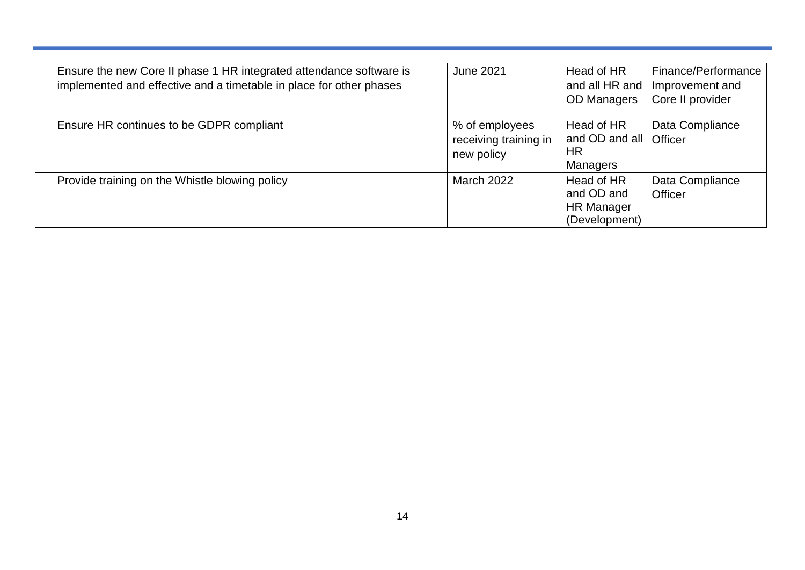| Ensure the new Core II phase 1 HR integrated attendance software is<br>implemented and effective and a timetable in place for other phases | <b>June 2021</b>                                      | Head of HR<br>and all HR and<br><b>OD Managers</b>             | Finance/Performance<br>Improvement and<br>Core II provider |
|--------------------------------------------------------------------------------------------------------------------------------------------|-------------------------------------------------------|----------------------------------------------------------------|------------------------------------------------------------|
| Ensure HR continues to be GDPR compliant                                                                                                   | % of employees<br>receiving training in<br>new policy | Head of HR<br>and OD and all<br>HR<br>Managers                 | Data Compliance<br>Officer                                 |
| Provide training on the Whistle blowing policy                                                                                             | <b>March 2022</b>                                     | Head of HR<br>and OD and<br><b>HR Manager</b><br>(Development) | Data Compliance<br>Officer                                 |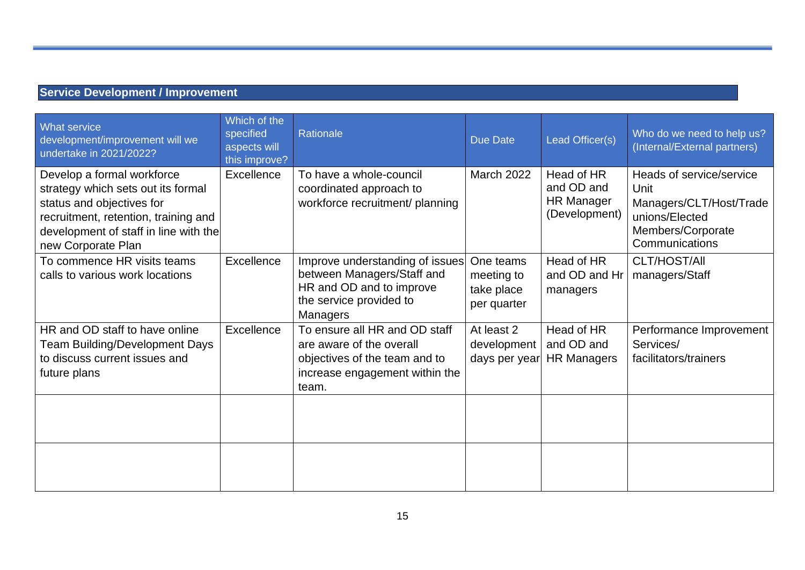#### **Service Development / Improvement**

| What service<br>development/improvement will we<br>undertake in 2021/2022?                                                                                                                           | Which of the<br>specified<br>aspects will<br>this improve? | Rationale                                                                                                                             | <b>Due Date</b>                                      | Lead Officer(s)                                                | Who do we need to help us?<br>(Internal/External partners)                                                           |
|------------------------------------------------------------------------------------------------------------------------------------------------------------------------------------------------------|------------------------------------------------------------|---------------------------------------------------------------------------------------------------------------------------------------|------------------------------------------------------|----------------------------------------------------------------|----------------------------------------------------------------------------------------------------------------------|
| Develop a formal workforce<br>strategy which sets out its formal<br>status and objectives for<br>recruitment, retention, training and<br>development of staff in line with the<br>new Corporate Plan | Excellence                                                 | To have a whole-council<br>coordinated approach to<br>workforce recruitment/ planning                                                 | March 2022                                           | Head of HR<br>and OD and<br><b>HR Manager</b><br>(Development) | Heads of service/service<br>Unit<br>Managers/CLT/Host/Trade<br>unions/Elected<br>Members/Corporate<br>Communications |
| To commence HR visits teams<br>calls to various work locations                                                                                                                                       | Excellence                                                 | Improve understanding of issues<br>between Managers/Staff and<br>HR and OD and to improve<br>the service provided to<br>Managers      | One teams<br>meeting to<br>take place<br>per quarter | Head of HR<br>and OD and Hr<br>managers                        | CLT/HOST/All<br>managers/Staff                                                                                       |
| HR and OD staff to have online<br><b>Team Building/Development Days</b><br>to discuss current issues and<br>future plans                                                                             | Excellence                                                 | To ensure all HR and OD staff<br>are aware of the overall<br>objectives of the team and to<br>increase engagement within the<br>team. | At least 2<br>development<br>days per year           | Head of HR<br>and OD and<br><b>HR Managers</b>                 | Performance Improvement<br>Services/<br>facilitators/trainers                                                        |
|                                                                                                                                                                                                      |                                                            |                                                                                                                                       |                                                      |                                                                |                                                                                                                      |
|                                                                                                                                                                                                      |                                                            |                                                                                                                                       |                                                      |                                                                |                                                                                                                      |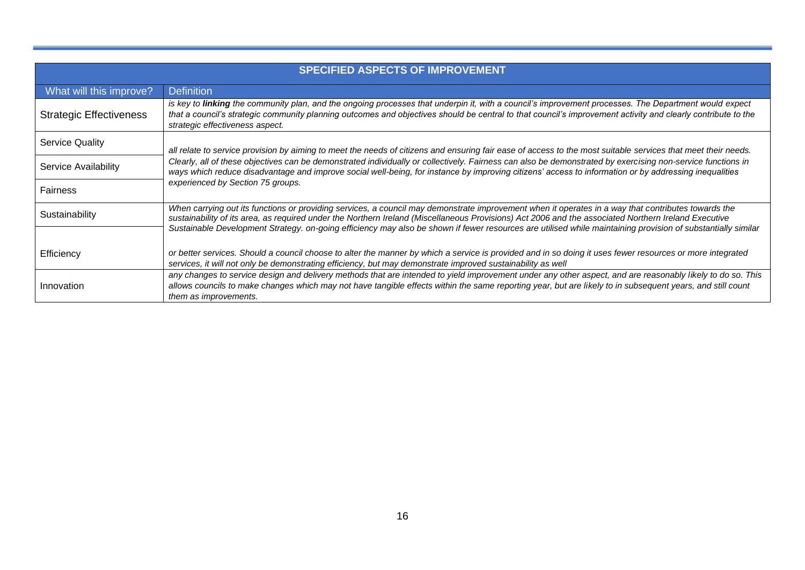|                                | <b>SPECIFIED ASPECTS OF IMPROVEMENT</b>                                                                                                                                                                                                                                                                                                                                                                                                                                     |  |  |  |  |  |  |
|--------------------------------|-----------------------------------------------------------------------------------------------------------------------------------------------------------------------------------------------------------------------------------------------------------------------------------------------------------------------------------------------------------------------------------------------------------------------------------------------------------------------------|--|--|--|--|--|--|
| What will this improve?        | <b>Definition</b>                                                                                                                                                                                                                                                                                                                                                                                                                                                           |  |  |  |  |  |  |
| <b>Strategic Effectiveness</b> | is key to linking the community plan, and the ongoing processes that underpin it, with a council's improvement processes. The Department would expect<br>that a council's strategic community planning outcomes and objectives should be central to that council's improvement activity and clearly contribute to the<br>strategic effectiveness aspect.                                                                                                                    |  |  |  |  |  |  |
| <b>Service Quality</b>         | all relate to service provision by aiming to meet the needs of citizens and ensuring fair ease of access to the most suitable services that meet their needs.                                                                                                                                                                                                                                                                                                               |  |  |  |  |  |  |
| Service Availability           | Clearly, all of these objectives can be demonstrated individually or collectively. Fairness can also be demonstrated by exercising non-service functions in<br>ways which reduce disadvantage and improve social well-being, for instance by improving citizens' access to information or by addressing inequalities                                                                                                                                                        |  |  |  |  |  |  |
| Fairness                       | experienced by Section 75 groups.                                                                                                                                                                                                                                                                                                                                                                                                                                           |  |  |  |  |  |  |
| Sustainability                 | When carrying out its functions or providing services, a council may demonstrate improvement when it operates in a way that contributes towards the<br>sustainability of its area, as required under the Northern Ireland (Miscellaneous Provisions) Act 2006 and the associated Northern Ireland Executive<br>Sustainable Development Strategy. on-going efficiency may also be shown if fewer resources are utilised while maintaining provision of substantially similar |  |  |  |  |  |  |
| Efficiency                     | or better services. Should a council choose to alter the manner by which a service is provided and in so doing it uses fewer resources or more integrated<br>services, it will not only be demonstrating efficiency, but may demonstrate improved sustainability as well                                                                                                                                                                                                    |  |  |  |  |  |  |
| Innovation                     | any changes to service design and delivery methods that are intended to yield improvement under any other aspect, and are reasonably likely to do so. This<br>allows councils to make changes which may not have tangible effects within the same reporting year, but are likely to in subsequent years, and still count<br>them as improvements.                                                                                                                           |  |  |  |  |  |  |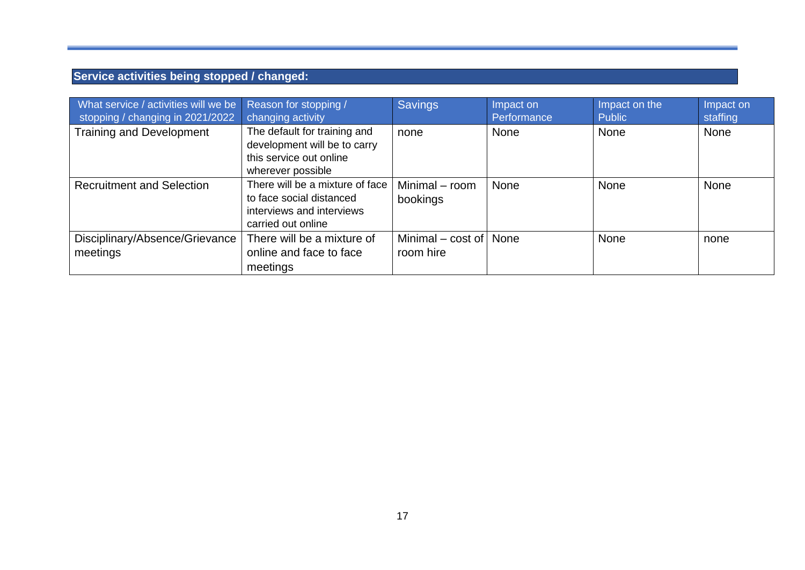### **Service activities being stopped / changed:**

| What service / activities will we be<br>stopping / changing in 2021/2022 | Reason for stopping /<br>changing activity                                                                     | <b>Savings</b>                   | Impact on<br>Performance | Impact on the<br>Public | Impact on<br>staffing |
|--------------------------------------------------------------------------|----------------------------------------------------------------------------------------------------------------|----------------------------------|--------------------------|-------------------------|-----------------------|
| <b>Training and Development</b>                                          | The default for training and<br>development will be to carry<br>this service out online<br>wherever possible   | none                             | <b>None</b>              | <b>None</b>             | None                  |
| <b>Recruitment and Selection</b>                                         | There will be a mixture of face<br>to face social distanced<br>interviews and interviews<br>carried out online | Minimal - room<br>bookings       | <b>None</b>              | <b>None</b>             | None                  |
| Disciplinary/Absence/Grievance<br>meetings                               | There will be a mixture of<br>online and face to face<br>meetings                                              | Minimal $-$ cost of<br>room hire | None                     | <b>None</b>             | none                  |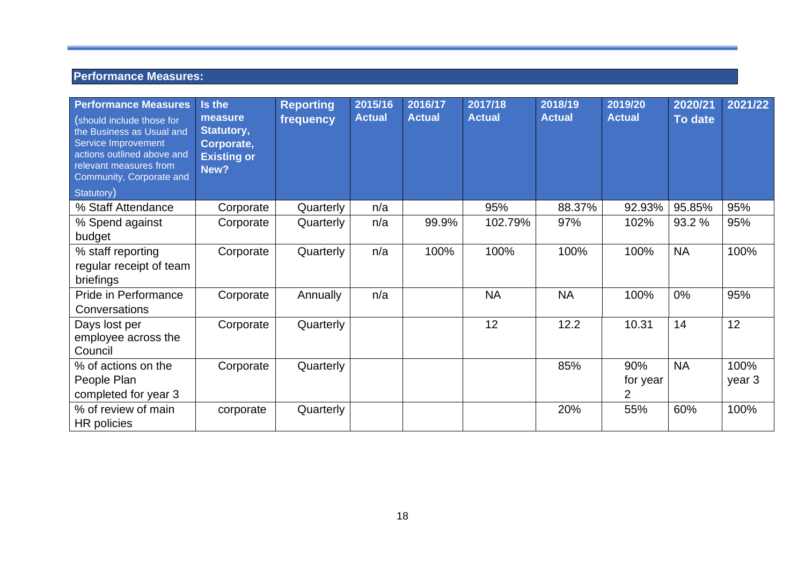#### **Performance Measures:**

<span id="page-17-0"></span>

| <b>Performance Measures</b><br>(should include those for<br>the Business as Usual and<br>Service Improvement<br>actions outlined above and<br>relevant measures from<br>Community, Corporate and<br>Statutory) | Is the<br>measure<br>Statutory,<br>Corporate,<br><b>Existing or</b><br>New? | <b>Reporting</b><br>frequency | 2015/16<br><b>Actual</b> | 2016/17<br><b>Actual</b> | 2017/18<br><b>Actual</b> | 2018/19<br><b>Actual</b> | 2019/20<br><b>Actual</b> | 2020/21<br>To date | 2021/22        |
|----------------------------------------------------------------------------------------------------------------------------------------------------------------------------------------------------------------|-----------------------------------------------------------------------------|-------------------------------|--------------------------|--------------------------|--------------------------|--------------------------|--------------------------|--------------------|----------------|
| % Staff Attendance                                                                                                                                                                                             | Corporate                                                                   | Quarterly                     | n/a                      |                          | 95%                      | 88.37%                   | 92.93%                   | 95.85%             | 95%            |
| % Spend against<br>budget                                                                                                                                                                                      | Corporate                                                                   | Quarterly                     | n/a                      | 99.9%                    | 102.79%                  | 97%                      | 102%                     | 93.2 %             | 95%            |
| % staff reporting<br>regular receipt of team<br>briefings                                                                                                                                                      | Corporate                                                                   | Quarterly                     | n/a                      | 100%                     | 100%                     | 100%                     | 100%                     | <b>NA</b>          | 100%           |
| Pride in Performance<br>Conversations                                                                                                                                                                          | Corporate                                                                   | Annually                      | n/a                      |                          | <b>NA</b>                | <b>NA</b>                | 100%                     | 0%                 | 95%            |
| Days lost per<br>employee across the<br>Council                                                                                                                                                                | Corporate                                                                   | Quarterly                     |                          |                          | 12                       | 12.2                     | 10.31                    | 14                 | 12             |
| % of actions on the<br>People Plan<br>completed for year 3                                                                                                                                                     | Corporate                                                                   | Quarterly                     |                          |                          |                          | 85%                      | 90%<br>for year<br>2     | <b>NA</b>          | 100%<br>year 3 |
| % of review of main<br>HR policies                                                                                                                                                                             | corporate                                                                   | Quarterly                     |                          |                          |                          | 20%                      | 55%                      | 60%                | 100%           |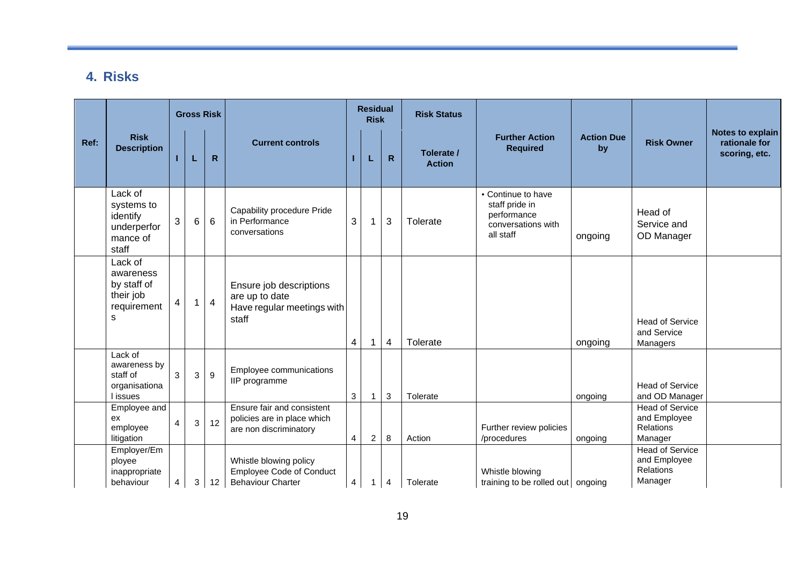### **4. Risks**

|      |                                                                       |                |                | <b>Gross Risk</b> |                                                                                       |                         | <b>Residual</b><br><b>Risk</b> |                | <b>Risk Status</b>          |                                                                                        |                         |                                                                       |                                                           |
|------|-----------------------------------------------------------------------|----------------|----------------|-------------------|---------------------------------------------------------------------------------------|-------------------------|--------------------------------|----------------|-----------------------------|----------------------------------------------------------------------------------------|-------------------------|-----------------------------------------------------------------------|-----------------------------------------------------------|
| Ref: | <b>Risk</b><br><b>Description</b>                                     |                | L              | $\mathsf{R}$      | <b>Current controls</b>                                                               |                         | L                              | $\mathsf{R}$   | Tolerate /<br><b>Action</b> | <b>Further Action</b><br><b>Required</b>                                               | <b>Action Due</b><br>by | <b>Risk Owner</b>                                                     | <b>Notes to explain</b><br>rationale for<br>scoring, etc. |
|      | Lack of<br>systems to<br>identify<br>underperfor<br>mance of<br>staff | 3              | 6              | 6                 | Capability procedure Pride<br>in Performance<br>conversations                         | 3                       | 1                              | 3              | Tolerate                    | • Continue to have<br>staff pride in<br>performance<br>conversations with<br>all staff | ongoing                 | Head of<br>Service and<br>OD Manager                                  |                                                           |
|      | Lack of<br>awareness<br>by staff of<br>their job<br>requirement<br>s  | 4              |                | $\overline{4}$    | Ensure job descriptions<br>are up to date<br>Have regular meetings with<br>staff      | 4                       | 1                              | $\overline{4}$ | Tolerate                    |                                                                                        | ongoing                 | <b>Head of Service</b><br>and Service<br>Managers                     |                                                           |
|      | Lack of<br>awareness by<br>staff of<br>organisationa<br>issues        | 3              | 3              | 9                 | Employee communications<br>IIP programme                                              | 3                       |                                | 3              | Tolerate                    |                                                                                        | ongoing                 | <b>Head of Service</b><br>and OD Manager                              |                                                           |
|      | Employee and<br>ex<br>employee<br>litigation                          | $\overline{4}$ | 3 <sup>1</sup> | 12                | Ensure fair and consistent<br>policies are in place which<br>are non discriminatory   | $\overline{4}$          | $\overline{2}$                 | 8              | Action                      | Further review policies<br>/procedures                                                 | ongoing                 | <b>Head of Service</b><br>and Employee<br><b>Relations</b><br>Manager |                                                           |
|      | Employer/Em<br>ployee<br>inappropriate<br>behaviour                   | 4              | 3              | 12                | Whistle blowing policy<br><b>Employee Code of Conduct</b><br><b>Behaviour Charter</b> | $\overline{\mathbf{4}}$ | 1                              | 4              | Tolerate                    | Whistle blowing<br>training to be rolled out ongoing                                   |                         | <b>Head of Service</b><br>and Employee<br>Relations<br>Manager        |                                                           |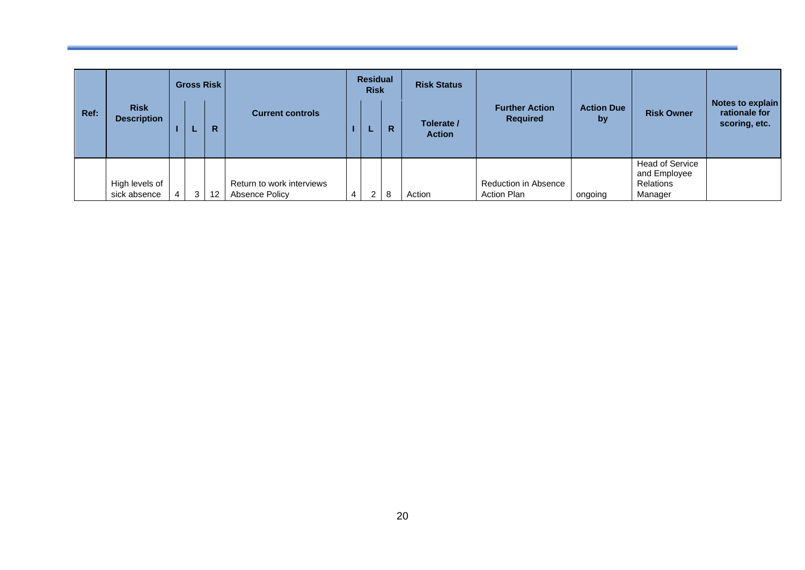|      |                                   | <b>Residual</b><br><b>Gross Risk</b><br><b>Risk Status</b><br><b>Risk</b> |                 |                                             |   |   |                             |                                          |                         |                                                                |                                                    |
|------|-----------------------------------|---------------------------------------------------------------------------|-----------------|---------------------------------------------|---|---|-----------------------------|------------------------------------------|-------------------------|----------------------------------------------------------------|----------------------------------------------------|
| Ref: | <b>Risk</b><br><b>Description</b> |                                                                           | R.              | <b>Current controls</b>                     | ш | R | Tolerate /<br><b>Action</b> | <b>Further Action</b><br><b>Required</b> | <b>Action Due</b><br>by | <b>Risk Owner</b>                                              | Notes to explain<br>rationale for<br>scoring, etc. |
|      | High levels of<br>sick absence    | 3 <sup>1</sup>                                                            | 12 <sup>2</sup> | Return to work interviews<br>Absence Policy | 2 | 8 | Action                      | Reduction in Absence<br>Action Plan      | ongoing                 | <b>Head of Service</b><br>and Employee<br>Relations<br>Manager |                                                    |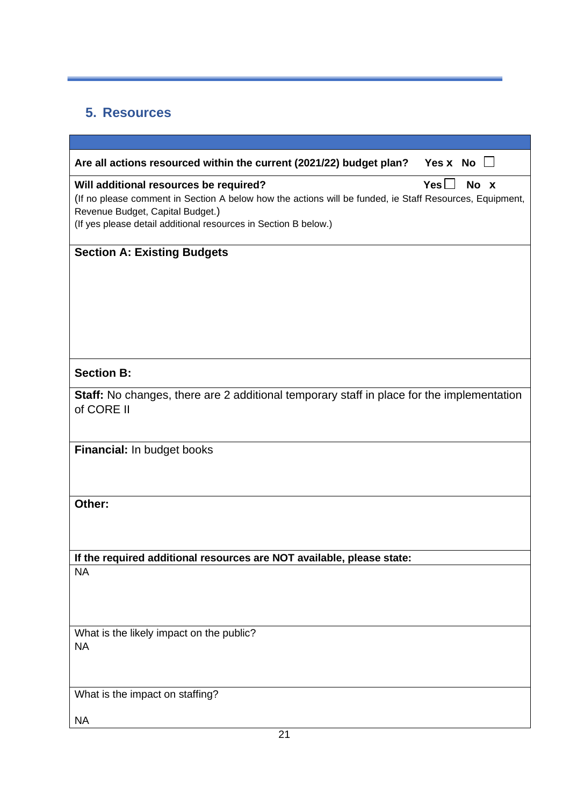### <span id="page-20-0"></span>**5. Resources**

| Are all actions resourced within the current (2021/22) budget plan?<br>Yes x No $\Box$                                                                                                                                                                                         |
|--------------------------------------------------------------------------------------------------------------------------------------------------------------------------------------------------------------------------------------------------------------------------------|
| $Yes \Box$<br>No x<br>Will additional resources be required?<br>(If no please comment in Section A below how the actions will be funded, ie Staff Resources, Equipment,<br>Revenue Budget, Capital Budget.)<br>(If yes please detail additional resources in Section B below.) |
| <b>Section A: Existing Budgets</b>                                                                                                                                                                                                                                             |
|                                                                                                                                                                                                                                                                                |
|                                                                                                                                                                                                                                                                                |
|                                                                                                                                                                                                                                                                                |
|                                                                                                                                                                                                                                                                                |
|                                                                                                                                                                                                                                                                                |
| <b>Section B:</b>                                                                                                                                                                                                                                                              |
| Staff: No changes, there are 2 additional temporary staff in place for the implementation<br>of CORE II                                                                                                                                                                        |
| Financial: In budget books                                                                                                                                                                                                                                                     |
|                                                                                                                                                                                                                                                                                |
|                                                                                                                                                                                                                                                                                |
| Other:                                                                                                                                                                                                                                                                         |
|                                                                                                                                                                                                                                                                                |
| If the required additional resources are NOT available, please state:                                                                                                                                                                                                          |
| <b>NA</b>                                                                                                                                                                                                                                                                      |
|                                                                                                                                                                                                                                                                                |
|                                                                                                                                                                                                                                                                                |
| What is the likely impact on the public?                                                                                                                                                                                                                                       |
| <b>NA</b>                                                                                                                                                                                                                                                                      |
|                                                                                                                                                                                                                                                                                |
| What is the impact on staffing?                                                                                                                                                                                                                                                |
| <b>NA</b>                                                                                                                                                                                                                                                                      |
|                                                                                                                                                                                                                                                                                |